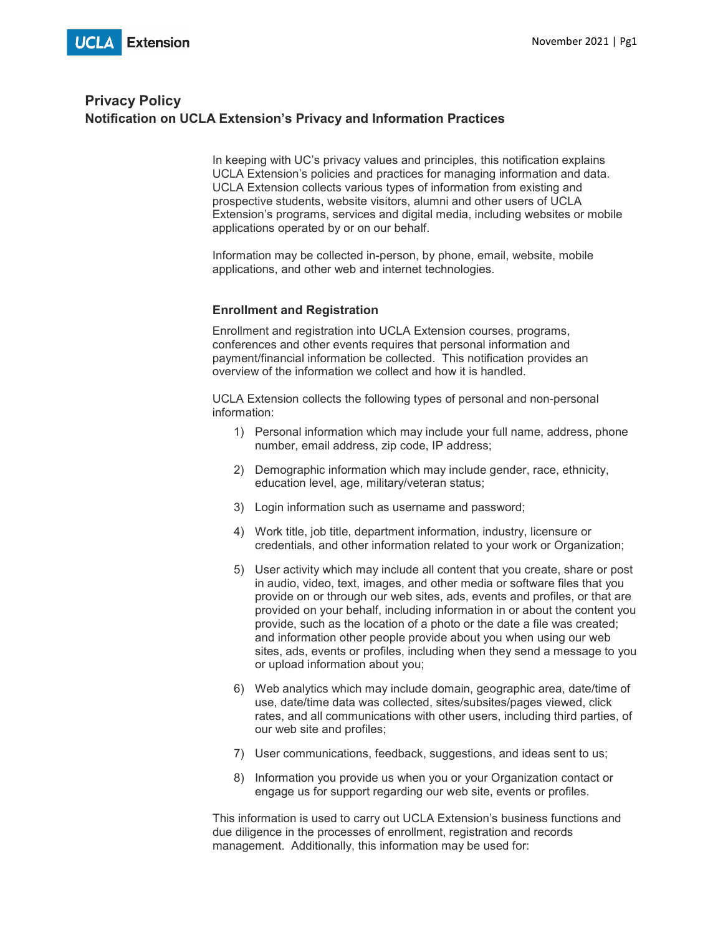# **Privacy Policy Notification on UCLA Extension's Privacy and Information Practices**

In keeping with UC's privacy values and principles, this notification explains UCLA Extension's policies and practices for managing information and data. UCLA Extension collects various types of information from existing and prospective students, website visitors, alumni and other users of UCLA Extension's programs, services and digital media, including websites or mobile applications operated by or on our behalf.

Information may be collected in-person, by phone, email, website, mobile applications, and other web and internet technologies.

### **Enrollment and Registration**

Enrollment and registration into UCLA Extension courses, programs, conferences and other events requires that personal information and payment/financial information be collected. This notification provides an overview of the information we collect and how it is handled.

UCLA Extension collects the following types of personal and non-personal information:

- 1) Personal information which may include your full name, address, phone number, email address, zip code, IP address;
- 2) Demographic information which may include gender, race, ethnicity, education level, age, military/veteran status;
- 3) Login information such as username and password;
- 4) Work title, job title, department information, industry, licensure or credentials, and other information related to your work or Organization;
- 5) User activity which may include all content that you create, share or post in audio, video, text, images, and other media or software files that you provide on or through our web sites, ads, events and profiles, or that are provided on your behalf, including information in or about the content you provide, such as the location of a photo or the date a file was created; and information other people provide about you when using our web sites, ads, events or profiles, including when they send a message to you or upload information about you;
- 6) Web analytics which may include domain, geographic area, date/time of use, date/time data was collected, sites/subsites/pages viewed, click rates, and all communications with other users, including third parties, of our web site and profiles;
- 7) User communications, feedback, suggestions, and ideas sent to us;
- 8) Information you provide us when you or your Organization contact or engage us for support regarding our web site, events or profiles.

This information is used to carry out UCLA Extension's business functions and due diligence in the processes of enrollment, registration and records management. Additionally, this information may be used for: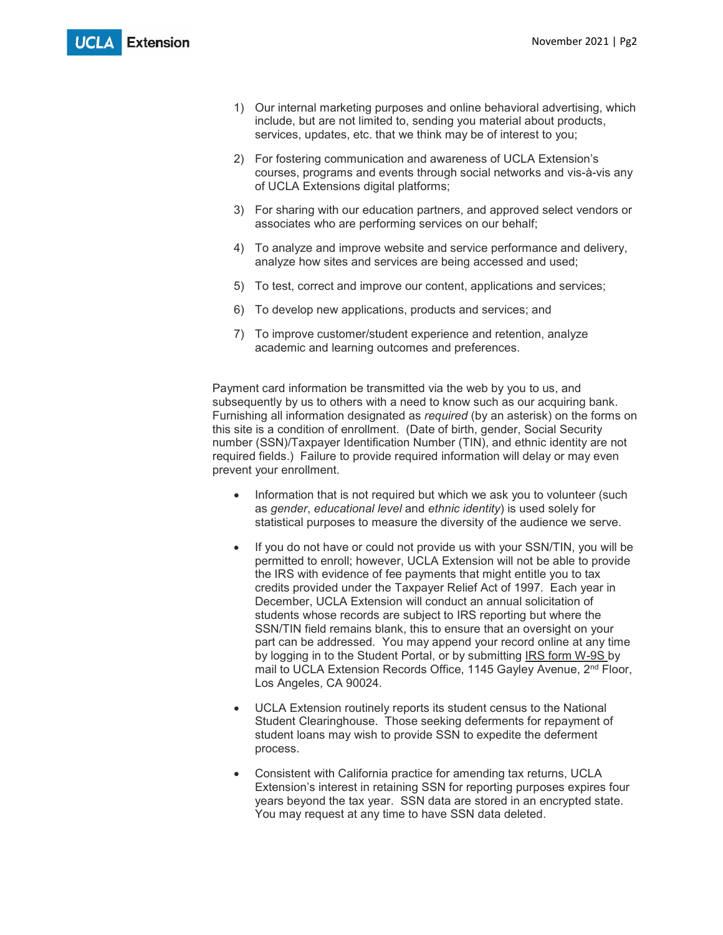- 1) Our internal marketing purposes and online behavioral advertising, which include, but are not limited to, sending you material about products, services, updates, etc. that we think may be of interest to you;
- 2) For fostering communication and awareness of UCLA Extension's courses, programs and events through social networks and vis-à-vis any of UCLA Extensions digital platforms;
- 3) For sharing with our education partners, and approved select vendors or associates who are performing services on our behalf;
- 4) To analyze and improve website and service performance and delivery, analyze how sites and services are being accessed and used;
- 5) To test, correct and improve our content, applications and services;
- 6) To develop new applications, products and services; and
- 7) To improve customer/student experience and retention, analyze academic and learning outcomes and preferences.

Payment card information be transmitted via the web by you to us, and subsequently by us to others with a need to know such as our acquiring bank. Furnishing all information designated as *required* (by an asterisk) on the forms on this site is a condition of enrollment. (Date of birth, gender, Social Security number (SSN)/Taxpayer Identification Number (TIN), and ethnic identity are not required fields.) Failure to provide required information will delay or may even prevent your enrollment.

- Information that is not required but which we ask you to volunteer (such as *gender*, *educational level* and *ethnic identity*) is used solely for statistical purposes to measure the diversity of the audience we serve.
- If you do not have or could not provide us with your SSN/TIN, you will be permitted to enroll; however, UCLA Extension will not be able to provide the IRS with evidence of fee payments that might entitle you to tax credits provided under the Taxpayer Relief Act of 1997. Each year in December, UCLA Extension will conduct an annual solicitation of students whose records are subject to IRS reporting but where the SSN/TIN field remains blank, this to ensure that an oversight on your part can be addressed. You may append your record online at any time by logging in to the Student Portal, or by submitting [IRS form W-9S b](http://www.irs.gov/pub/irs-pdf/fw9s.pdf)y mail to UCLA Extension Records Office, 1145 Gayley Avenue, 2<sup>nd</sup> Floor, Los Angeles, CA 90024.
- UCLA Extension routinely reports its student census to the National Student Clearinghouse. Those seeking deferments for repayment of student loans may wish to provide SSN to expedite the deferment process.
- Consistent with California practice for amending tax returns, UCLA Extension's interest in retaining SSN for reporting purposes expires four years beyond the tax year. SSN data are stored in an encrypted state. You may request at any time to have SSN data deleted.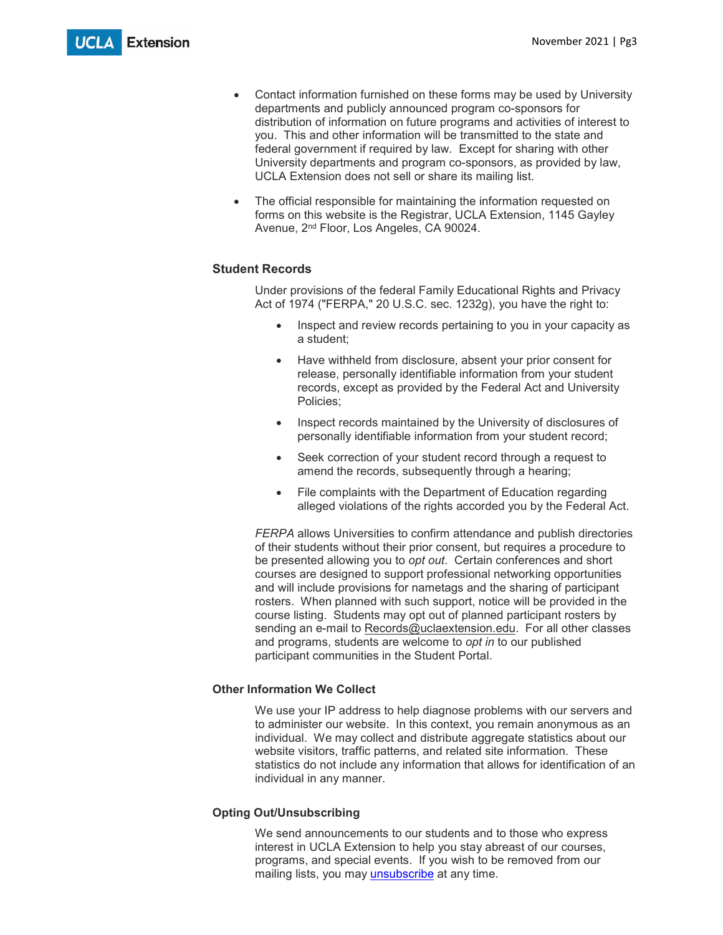- Contact information furnished on these forms may be used by University departments and publicly announced program co-sponsors for distribution of information on future programs and activities of interest to you. This and other information will be transmitted to the state and federal government if required by law. Except for sharing with other University departments and program co-sponsors, as provided by law, UCLA Extension does not sell or share its mailing list.
- The official responsible for maintaining the information requested on forms on this website is the Registrar, UCLA Extension, 1145 Gayley Avenue, 2nd Floor, Los Angeles, CA 90024.

### **Student Records**

Under provisions of the federal Family Educational Rights and Privacy Act of 1974 ("FERPA," 20 U.S.C. sec. 1232g), you have the right to:

- Inspect and review records pertaining to you in your capacity as a student;
- Have withheld from disclosure, absent your prior consent for release, personally identifiable information from your student records, except as provided by the Federal Act and University Policies;
- Inspect records maintained by the University of disclosures of personally identifiable information from your student record;
- Seek correction of your student record through a request to amend the records, subsequently through a hearing;
- File complaints with the Department of Education regarding alleged violations of the rights accorded you by the Federal Act.

*FERPA* allows Universities to confirm attendance and publish directories of their students without their prior consent, but requires a procedure to be presented allowing you to *opt out*. Certain conferences and short courses are designed to support professional networking opportunities and will include provisions for nametags and the sharing of participant rosters. When planned with such support, notice will be provided in the course listing. Students may opt out of planned participant rosters by sending an e-mail to [Records@uclaextension.edu.](mailto:Records@uclaextension.edu) For all other classes and programs, students are welcome to *opt in* to our published participant communities in the Student Portal.

#### **Other Information We Collect**

We use your IP address to help diagnose problems with our servers and to administer our website. In this context, you remain anonymous as an individual. We may collect and distribute aggregate statistics about our website visitors, traffic patterns, and related site information. These statistics do not include any information that allows for identification of an individual in any manner.

### **Opting Out/Unsubscribing**

We send announcements to our students and to those who express interest in UCLA Extension to help you stay abreast of our courses, programs, and special events. If you wish to be removed from our mailing lists, you may [unsubscribe](https://www.uclaextension.edu/unsubscribe) at any time.